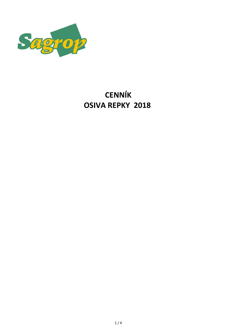

# **CENNÍK OSIVA REPKY 2018**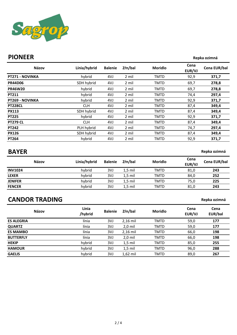

#### **PIONEER Repka ozimná**

| Názov                  | Línia/hybrid | <b>Balenie</b> | Zŕn/bal | <b>Moridlo</b> | Cena<br>EUR/VJ | Cena EUR/bal |
|------------------------|--------------|----------------|---------|----------------|----------------|--------------|
| <b>PT271 - NOVINKA</b> | hybrid       | 4VJ            | 2 mil   | <b>TMTD</b>    | 92,9           | 371,7        |
| <b>PR44D06</b>         | SDH hybrid   | 4VJ            | 2 mil   | <b>TMTD</b>    | 69,7           | 278,8        |
| <b>PR46W20</b>         | hybrid       | 4VJ            | 2 mil   | <b>TMTD</b>    | 69,7           | 278,8        |
| PT211                  | hybrid       | 4VJ            | 2 mil   | TMTD           | 74,4           | 297,4        |
| <b>PT269 - NOVINKA</b> | hybrid       | 4VJ            | 2 mil   | <b>TMTD</b>    | 92,9           | 371,7        |
| <b>PT228CL</b>         | <b>CLH</b>   | 4VJ            | 2 mil   | <b>TMTD</b>    | 87,4           | 349,4        |
| <b>PX113</b>           | SDH hybrid   | 4VJ            | 2 mil   | <b>TMTD</b>    | 87,4           | 349,4        |
| <b>PT225</b>           | hybrid       | 4VJ            | 2 mil   | <b>TMTD</b>    | 92,9           | 371,7        |
| <b>PT279 CL</b>        | <b>CLH</b>   | 4VJ            | 2 mil   | TMTD           | 87,4           | 349,4        |
| <b>PT242</b>           | PLH hybrid   | 4VJ            | 2 mil   | <b>TMTD</b>    | 74,7           | 297,4        |
| <b>PX126</b>           | SDH hybrid   | 4VJ            | 2 mil   | TMTD           | 87,4           | 349,4        |
| PT264                  | hybrid       | 4VJ            | 2 mil   | <b>TMTD</b>    | 92,9           | 371,7        |

**BAYER Replace of the SNS of the SNS of the SNS of the SNS of the SNS of the Repka ozimná** 

**Repka ozimná**

|                | <b>Názov</b> | Línia/hybrid | <b>Balenie</b> | Zŕn/bal   | <b>Moridlo</b> | Cena<br>EUR/VJ | Cena EUR/bal |
|----------------|--------------|--------------|----------------|-----------|----------------|----------------|--------------|
| <b>INV1024</b> |              | hybrid       | 3VJ            | $1.5$ mil | TMTD           | 81,0           | 243          |
| <b>LEXER</b>   |              | hybrid       | 3VJ            | $1,5$ mil | <b>TMTD</b>    | 84,0           | 252          |
| <b>JENIFER</b> |              | hybrid       | 3VJ            | $1,5$ mil | <b>TMTD</b>    | 75,0           | 225          |
| <b>FENCER</b>  |              | hybrid       | 3VJ            | $1,5$ mil | <b>TMTD</b>    | 81,0           | 243          |

# **CANDOR TRADING**

| Názov             | Línia<br>/hybrid | <b>Balenie</b> | Zŕn/bal    | <b>Moridlo</b> | Cena<br>EUR/VJ | Cena<br>EUR/bal |
|-------------------|------------------|----------------|------------|----------------|----------------|-----------------|
| <b>ES ALEGRIA</b> | línia            | 3VJ            | $2,16$ mil | <b>TMTD</b>    | 59,0           | 177             |
| <b>QUARTZ</b>     | línia            | 3VJ            | $2,0$ mil  | <b>TMTD</b>    | 59,0           | 177             |
| <b>ES MAMBO</b>   | línia            | 3VJ            | $2,16$ mil | <b>TMTD</b>    | 66,0           | 198             |
| <b>BUTTERFLY</b>  | línia            | 3VJ            | 2,0 mil    | <b>TMTD</b>    | 66,0           | 198             |
| <b>HEKIP</b>      | hybrid           | 3VJ            | $1,5$ mil  | <b>TMTD</b>    | 85,0           | 255             |
| <b>HAMOUR</b>     | hybrid           | 3VJ            | $1,5$ mil  | <b>TMTD</b>    | 96,0           | 288             |
| <b>GAELIS</b>     | hybrid           | 3VJ            | $1,62$ mil | <b>TMTD</b>    | 89,0           | 267             |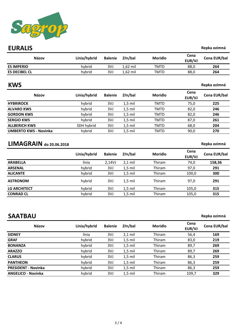

### **EURALIS Replace of the CIT CONTRACT CONTRACT CONTRACT CONTRACT CONTRACT CONTRACT CONTRACT CONTRACT CONTRACT CONTRACT CONTRACT CONTRACT CONTRACT CONTRACT CONTRACT CONTRACT CONTRACT CONTRACT CONTRACT CONTRACT CONTRACT CON**

| Názov                        | Línia/hybrid | <b>Balenie</b> | Zŕn/bal    | <b>Moridlo</b> | Cena<br>EUR/VJ | Cena EUR/bal |
|------------------------------|--------------|----------------|------------|----------------|----------------|--------------|
| <b>ES IMPERIO</b>            | hybrid       | 3VJ            | $1,62$ mil | <b>TMTD</b>    | 88,0           | 264          |
| <b>ES DECIBEL CL</b>         | hybrid       | 3VJ            | $1,62$ mil | TMTD           | 88,0           | 264          |
| <b>KWS</b>                   |              |                |            |                |                | Repka ozimná |
| Názov                        | Línia/hybrid | <b>Balenie</b> | Zŕn/bal    | <b>Moridlo</b> | Cena<br>EUR/VJ | Cena EUR/bal |
| <b>HYBRIROCK</b>             | hybrid       | 3VJ            | $1,5$ mil  | <b>TMTD</b>    | 75,0           | 225          |
| <b>ALVARO KWS</b>            | hybrid       | 3VJ            | $1,5$ mil  | <b>TMTD</b>    | 82,0           | 246          |
| <b>GORDON KWS</b>            | hybrid       | 3VJ            | $1,5$ mil  | <b>TMTD</b>    | 82,0           | 246          |
| <b>SERGIO KWS</b>            | hybrid       | 3VJ            | $1,5$ mil  | <b>TMTD</b>    | 87,0           | 261          |
| <b>ALLBERICH KWS</b>         | SDH hybrid   | 3VJ            | $1,5$ mil  | TMTD           | 68,0           | 204          |
| <b>UMBERTO KWS - Novinka</b> | hybrid       | 3VJ            | $1,5$ mil  | <b>TMTD</b>    | 90,0           | 270          |
| $LIMAGRAIN$ do 20.06.2018    |              |                |            |                |                | Repka ozimná |

#### **Línia/hybrid Balenie Zŕn/bal Moridlo Cena Cena EUR/bal ARABELLA** línia 2,14VJ 2,1 mil Thiram 74,0 **158,36 ARSENAL** hybrid 3VJ 1,5 mil Thiram 97,0 **291 ALICANTE** hybrid 3VJ 1,5 mil Thiram 100,0 **300 ASTRONOM** hybrid 3VJ 1,5 mil Thiram 97,0 **291 LG ARCHITECT** hybrid 3VJ 1,5 mil Thiram 105,0 **315 CONRAD CL** hybrid 3VJ 1,5 mil Thiram 105,0 **315**

## **SAATBAU Repka ozimná**

| Názov                      | Línia/hybrid | <b>Balenie</b> | Zŕn/bal   | <b>Moridlo</b> | Cena<br>EUR/VJ | Cena EUR/bal |
|----------------------------|--------------|----------------|-----------|----------------|----------------|--------------|
| <b>SIDNEY</b>              | línia        | 3VJ            | $2,1$ mil | Thiram         | 56,4           | 169          |
| <b>GRAF</b>                | hybrid       | 3VJ            | $1,5$ mil | Thiram         | 83,0           | 219          |
| <b>BONANZA</b>             | hybrid       | 3VJ            | $1.5$ mil | Thiram         | 89,7           | 269          |
| <b>ARAZZO</b>              | hybrid       | 3VJ            | $1,5$ mil | Thiram         | 89,7           | 269          |
| <b>CLARUS</b>              | hybrid       | 3VJ            | $1,5$ mil | Thiram         | 86,3           | 259          |
| <b>PANTHEON</b>            | hybrid       | 3VJ            | $1,5$ mil | Thiram         | 86,3           | 259          |
| <b>PRESIDENT - Novinka</b> | hybrid       | 3VJ            | $1,5$ mil | Thiram         | 86,3           | 259          |
| <b>ANGELICO - Novinka</b>  | hybrid       | 3VJ            | $1.5$ mil | Thiram         | 109,7          | 329          |